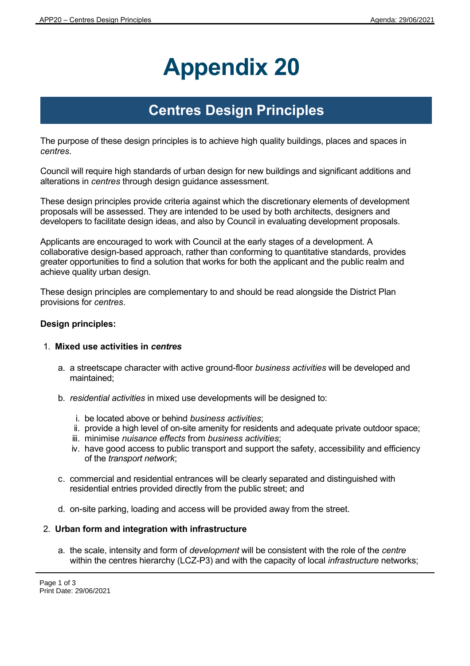# **Appendix 20**

# **Centres Design Principles**

The purpose of these design principles is to achieve high quality buildings, places and spaces in *centres*.

Council will require high standards of urban design for new buildings and significant additions and alterations in *centres* through design guidance assessment.

These design principles provide criteria against which the discretionary elements of development proposals will be assessed. They are intended to be used by both architects, designers and developers to facilitate design ideas, and also by Council in evaluating development proposals.

Applicants are encouraged to work with Council at the early stages of a development. A collaborative design-based approach, rather than conforming to quantitative standards, provides greater opportunities to find a solution that works for both the applicant and the public realm and achieve quality urban design.

These design principles are complementary to and should be read alongside the District Plan provisions for *centres*.

## **Design principles:**

#### 1. **Mixed use activities in** *centres*

- a. a streetscape character with active ground-floor *business activities* will be developed and maintained;
- b. *residential activities* in mixed use developments will be designed to:
	- i. be located above or behind *business activities*;
	- ii. provide a high level of on-site amenity for residents and adequate private outdoor space;
	- iii. minimise *nuisance effects* from *business activities*;
	- iv. have good access to public transport and support the safety, accessibility and efficiency of the *transport network*;
- c. commercial and residential entrances will be clearly separated and distinguished with residential entries provided directly from the public street; and
- d. on-site parking, loading and access will be provided away from the street.

#### 2. **Urban form and integration with infrastructure**

a. the scale, intensity and form of *development* will be consistent with the role of the *centre* within the centres hierarchy (LCZ-P3) and with the capacity of local *infrastructure* networks;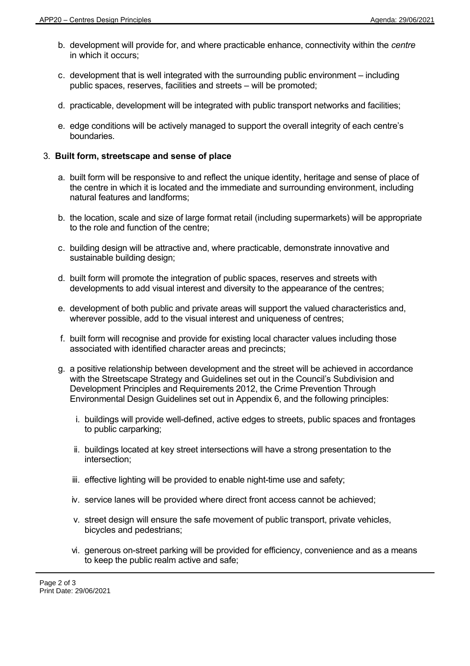- b. development will provide for, and where practicable enhance, connectivity within the *centre* in which it occurs;
- c. development that is well integrated with the surrounding public environment including public spaces, reserves, facilities and streets – will be promoted;
- d. practicable, development will be integrated with public transport networks and facilities;
- e. edge conditions will be actively managed to support the overall integrity of each centre's boundaries.

### 3. **Built form, streetscape and sense of place**

- a. built form will be responsive to and reflect the unique identity, heritage and sense of place of the centre in which it is located and the immediate and surrounding environment, including natural features and landforms;
- b. the location, scale and size of large format retail (including supermarkets) will be appropriate to the role and function of the centre;
- c. building design will be attractive and, where practicable, demonstrate innovative and sustainable building design;
- d. built form will promote the integration of public spaces, reserves and streets with developments to add visual interest and diversity to the appearance of the centres;
- e. development of both public and private areas will support the valued characteristics and, wherever possible, add to the visual interest and uniqueness of centres;
- f. built form will recognise and provide for existing local character values including those associated with identified character areas and precincts;
- g. a positive relationship between development and the street will be achieved in accordance with the Streetscape Strategy and Guidelines set out in the Council's Subdivision and Development Principles and Requirements 2012, the Crime Prevention Through Environmental Design Guidelines set out in Appendix 6, and the following principles:
	- i. buildings will provide well-defined, active edges to streets, public spaces and frontages to public carparking;
	- ii. buildings located at key street intersections will have a strong presentation to the intersection;
	- iii. effective lighting will be provided to enable night-time use and safety;
	- iv. service lanes will be provided where direct front access cannot be achieved;
	- v. street design will ensure the safe movement of public transport, private vehicles, bicycles and pedestrians;
	- vi. generous on-street parking will be provided for efficiency, convenience and as a means to keep the public realm active and safe;